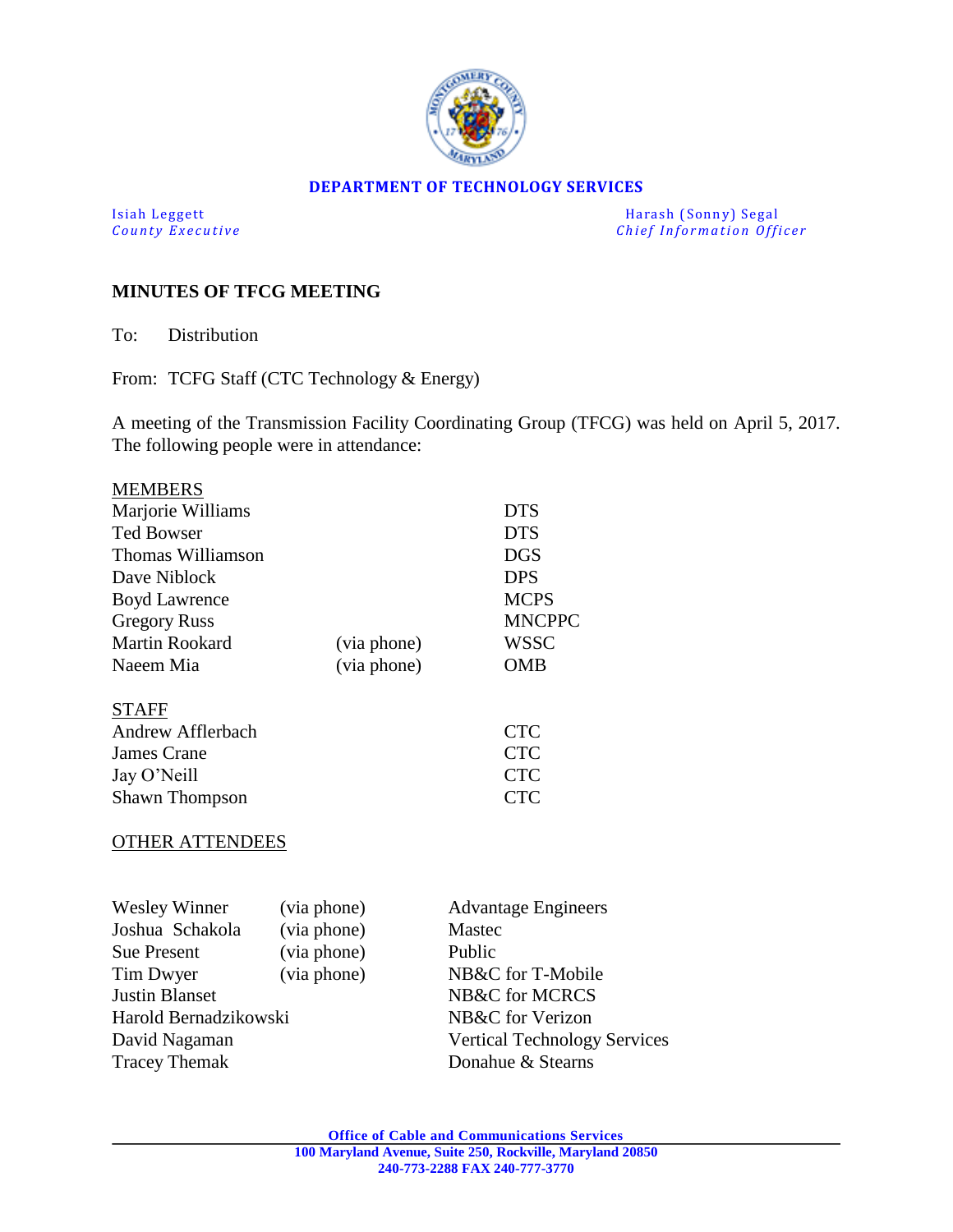

#### **DEPARTMENT OF TECHNOLOGY SERVICES**

Isiah Leggett Harash (Sonny) Segal<br>
County Executive County Executive Chief Information Officers *Chief Information Officer* 

### **MINUTES OF TFCG MEETING**

To: Distribution

From: TCFG Staff (CTC Technology & Energy)

A meeting of the Transmission Facility Coordinating Group (TFCG) was held on April 5, 2017. The following people were in attendance:

| <b>MEMBERS</b>        |             |               |
|-----------------------|-------------|---------------|
| Marjorie Williams     |             | <b>DTS</b>    |
| <b>Ted Bowser</b>     |             | <b>DTS</b>    |
| Thomas Williamson     |             | <b>DGS</b>    |
| Dave Niblock          |             | <b>DPS</b>    |
| <b>Boyd Lawrence</b>  |             | <b>MCPS</b>   |
| <b>Gregory Russ</b>   |             | <b>MNCPPC</b> |
| <b>Martin Rookard</b> | (via phone) | <b>WSSC</b>   |
| Naeem Mia             | (via phone) | <b>OMB</b>    |
| STAFF                 |             |               |
| Andrew Afflerbach     |             | <b>CTC</b>    |
| James Crane           |             | <b>CTC</b>    |
| Jay O'Neill           |             | <b>CTC</b>    |
| Shawn Thompson        |             | <b>CTC</b>    |
| THER ATTENDEES        |             |               |

| Wesley Winner         | (via phone) | <b>Advantage Engineers</b>          |  |
|-----------------------|-------------|-------------------------------------|--|
| Joshua Schakola       | (via phone) | Mastec                              |  |
| <b>Sue Present</b>    | (via phone) | Public                              |  |
| Tim Dwyer             | (via phone) | NB&C for T-Mobile                   |  |
| Justin Blanset        |             | NB&C for MCRCS                      |  |
| Harold Bernadzikowski |             | NB&C for Verizon                    |  |
| David Nagaman         |             | <b>Vertical Technology Services</b> |  |
| <b>Tracey Themak</b>  |             | Donahue & Stearns                   |  |
|                       |             |                                     |  |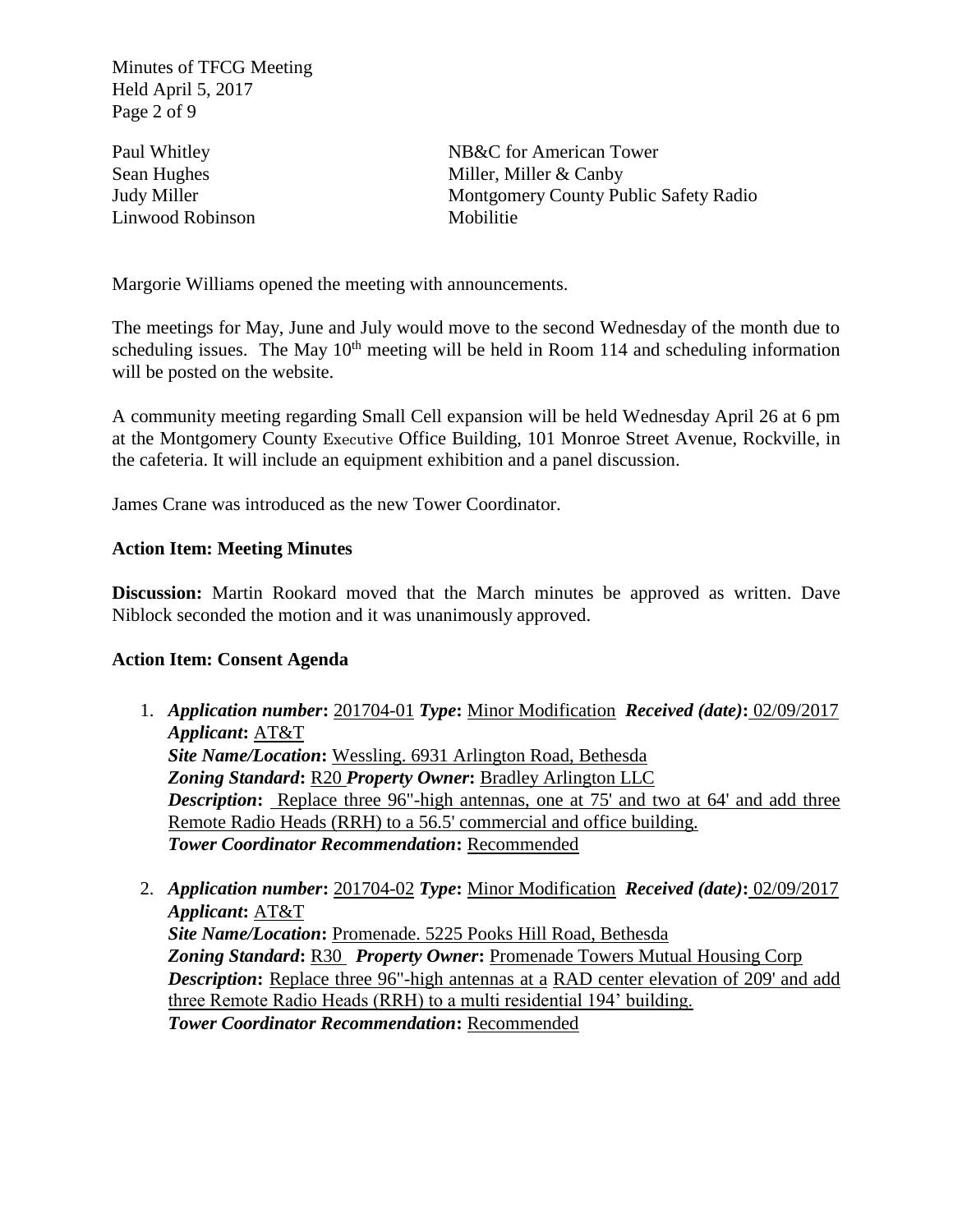Minutes of TFCG Meeting Held April 5, 2017 Page 2 of 9

Linwood Robinson Mobilitie

Paul Whitley NB&C for American Tower Sean Hughes Miller, Miller & Canby Judy Miller Montgomery County Public Safety Radio

Margorie Williams opened the meeting with announcements.

The meetings for May, June and July would move to the second Wednesday of the month due to scheduling issues. The May  $10<sup>th</sup>$  meeting will be held in Room 114 and scheduling information will be posted on the website.

A community meeting regarding Small Cell expansion will be held Wednesday April 26 at 6 pm at the Montgomery County Executive Office Building, 101 Monroe Street Avenue, Rockville, in the cafeteria. It will include an equipment exhibition and a panel discussion.

James Crane was introduced as the new Tower Coordinator.

### **Action Item: Meeting Minutes**

**Discussion:** Martin Rookard moved that the March minutes be approved as written. Dave Niblock seconded the motion and it was unanimously approved.

### **Action Item: Consent Agenda**

- 1. *Application number***:** 201704-01 *Type***:** Minor Modification*Received (date)***:** 02/09/2017 *Applicant***:** AT&T *Site Name/Location***:** Wessling. 6931 Arlington Road, Bethesda *Zoning Standard***:** R20 *Property Owner***:** Bradley Arlington LLC *Description*: Replace three 96"-high antennas, one at 75' and two at 64' and add three Remote Radio Heads (RRH) to a 56.5' commercial and office building. *Tower Coordinator Recommendation***:** Recommended
- 2. *Application number***:** 201704-02 *Type***:** Minor Modification*Received (date)***:** 02/09/2017 *Applicant***:** AT&T *Site Name/Location***:** Promenade. 5225 Pooks Hill Road, Bethesda *Zoning Standard***:** R30 *Property Owner***:** Promenade Towers Mutual Housing Corp *Description*: Replace three 96"-high antennas at a RAD center elevation of 209' and add three Remote Radio Heads (RRH) to a multi residential 194' building. *Tower Coordinator Recommendation***:** Recommended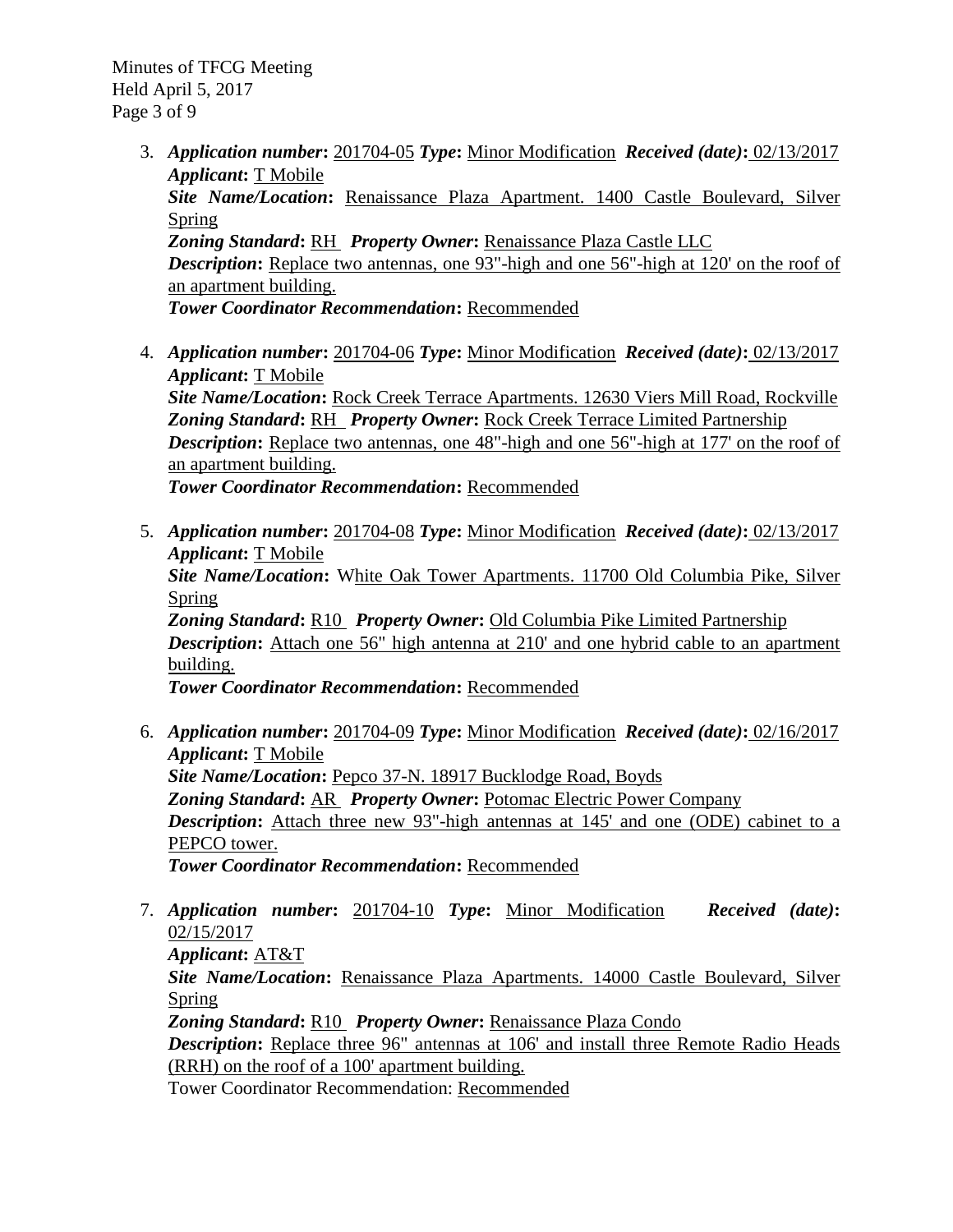Minutes of TFCG Meeting Held April 5, 2017 Page 3 of 9

- 3. *Application number***:** 201704-05 *Type***:** Minor Modification*Received (date)***:** 02/13/2017 *Applicant***:** T Mobile *Site Name/Location***:** Renaissance Plaza Apartment. 1400 Castle Boulevard, Silver Spring *Zoning Standard***:** RH *Property Owner***:** Renaissance Plaza Castle LLC **Description:** Replace two antennas, one 93"-high and one 56"-high at 120' on the roof of an apartment building. *Tower Coordinator Recommendation***:** Recommended
- 4. *Application number***:** 201704-06 *Type***:** Minor Modification*Received (date)***:** 02/13/2017 *Applicant***:** T Mobile *Site Name/Location***:** Rock Creek Terrace Apartments. 12630 Viers Mill Road, Rockville *Zoning Standard***:** RH *Property Owner***:** Rock Creek Terrace Limited Partnership **Description:** Replace two antennas, one 48"-high and one 56"-high at 177' on the roof of an apartment building. *Tower Coordinator Recommendation***:** Recommended
- 5. *Application number***:** 201704-08 *Type***:** Minor Modification*Received (date)***:** 02/13/2017 *Applicant***:** T Mobile *Site Name/Location***:** White Oak Tower Apartments. 11700 Old Columbia Pike, Silver Spring *Zoning Standard***:** R10 *Property Owner***:** Old Columbia Pike Limited Partnership *Description*: Attach one 56" high antenna at 210' and one hybrid cable to an apartment building. *Tower Coordinator Recommendation***:** Recommended
- 6. *Application number***:** 201704-09 *Type***:** Minor Modification*Received (date)***:** 02/16/2017 *Applicant***:** T Mobile *Site Name/Location***:** Pepco 37-N. 18917 Bucklodge Road, Boyds *Zoning Standard***:** AR *Property Owner***:** Potomac Electric Power Company *Description*: Attach three new 93"-high antennas at 145' and one (ODE) cabinet to a PEPCO tower. *Tower Coordinator Recommendation***:** Recommended
- 7. *Application number***:** 201704-10 *Type***:** Minor Modification*Received (date)***:** 02/15/2017 *Applicant***:** AT&T

*Site Name/Location***:** Renaissance Plaza Apartments. 14000 Castle Boulevard, Silver Spring

*Zoning Standard***:** R10 *Property Owner***:** Renaissance Plaza Condo **Description:** Replace three 96" antennas at 106' and install three Remote Radio Heads (RRH) on the roof of a 100' apartment building.

Tower Coordinator Recommendation: Recommended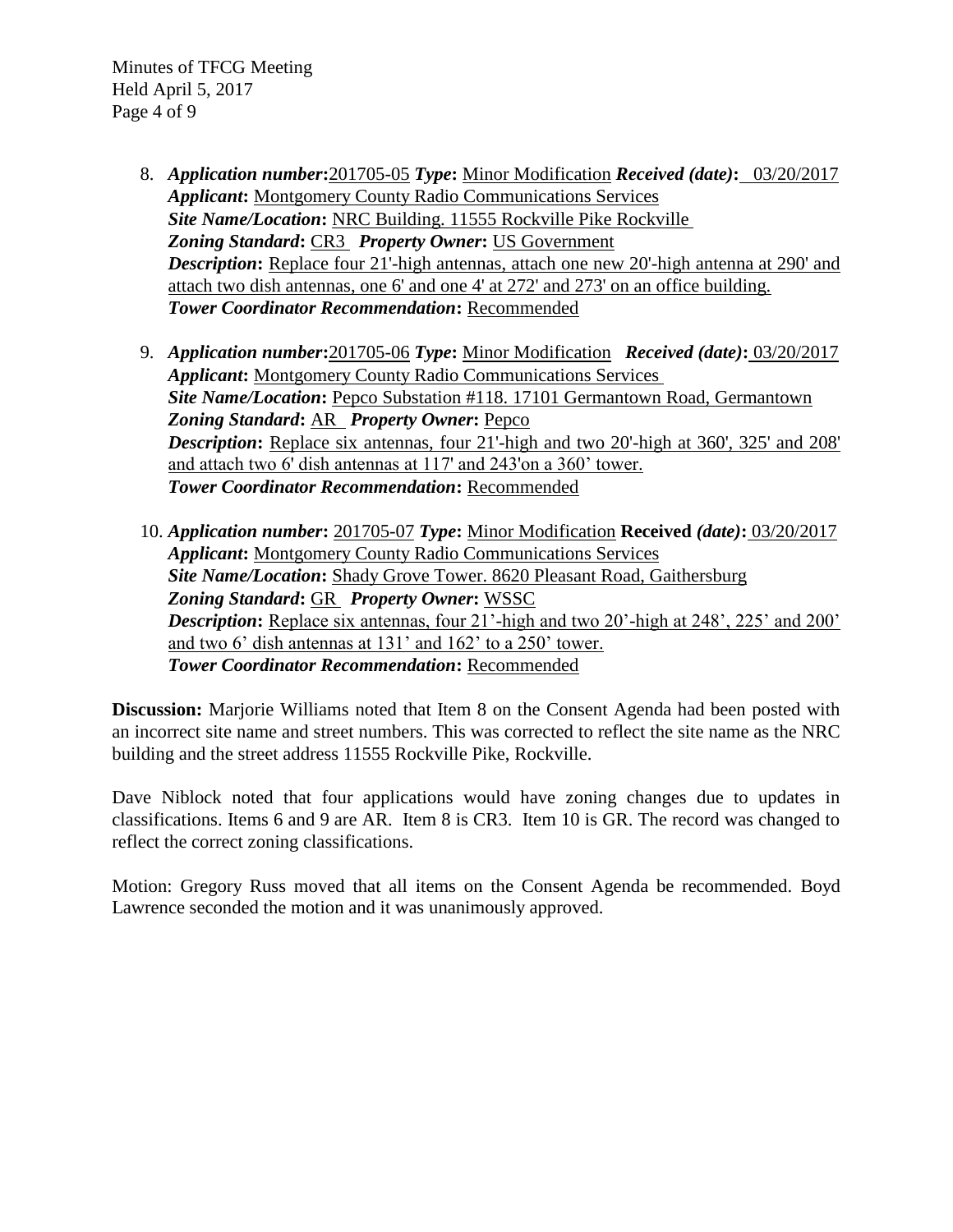Minutes of TFCG Meeting Held April 5, 2017 Page 4 of 9

- 8. *Application number***:**201705-05 *Type***:** Minor Modification *Received (date)***:** 03/20/2017 *Applicant***:** Montgomery County Radio Communications Services *Site Name/Location***:** NRC Building. 11555 Rockville Pike Rockville *Zoning Standard***:** CR3 *Property Owner***:** US Government **Description:** Replace four 21'-high antennas, attach one new 20'-high antenna at 290' and attach two dish antennas, one 6' and one 4' at 272' and 273' on an office building. *Tower Coordinator Recommendation***:** Recommended
- 9. *Application number***:**201705-06 *Type***:** Minor Modification*Received (date)***:** 03/20/2017 *Applicant***:** Montgomery County Radio Communications Services *Site Name/Location***:** Pepco Substation #118. 17101 Germantown Road, Germantown *Zoning Standard***:** AR *Property Owner***:** Pepco **Description:** Replace six antennas, four 21'-high and two 20'-high at 360', 325' and 208' and attach two 6' dish antennas at 117' and 243'on a 360' tower. *Tower Coordinator Recommendation***:** Recommended
- 10. *Application number***:** 201705-07 *Type***:** Minor Modification **Received** *(date)***:** 03/20/2017 *Applicant***:** Montgomery County Radio Communications Services *Site Name/Location***:** Shady Grove Tower. 8620 Pleasant Road, Gaithersburg *Zoning Standard***:** GR *Property Owner***:** WSSC **Description:** Replace six antennas, four 21'-high and two 20'-high at 248', 225' and 200' and two 6' dish antennas at 131' and 162' to a 250' tower. *Tower Coordinator Recommendation***:** Recommended

**Discussion:** Marjorie Williams noted that Item 8 on the Consent Agenda had been posted with an incorrect site name and street numbers. This was corrected to reflect the site name as the NRC building and the street address 11555 Rockville Pike, Rockville.

Dave Niblock noted that four applications would have zoning changes due to updates in classifications. Items 6 and 9 are AR. Item 8 is CR3. Item 10 is GR. The record was changed to reflect the correct zoning classifications.

Motion: Gregory Russ moved that all items on the Consent Agenda be recommended. Boyd Lawrence seconded the motion and it was unanimously approved.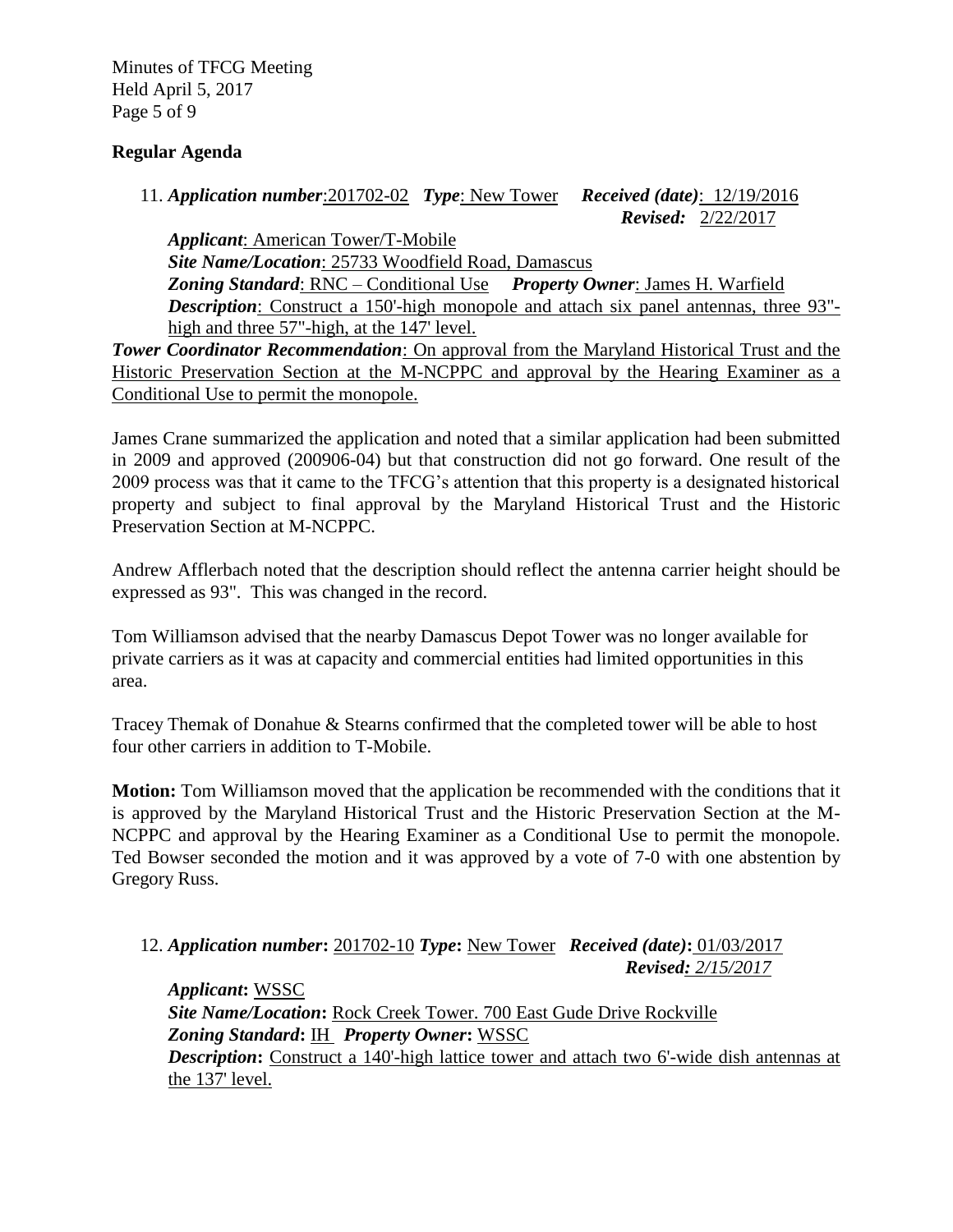Minutes of TFCG Meeting Held April 5, 2017 Page 5 of 9

## **Regular Agenda**

```
11. Application number:201702-02 Type: New Tower Received (date): 12/19/2016 
                                                         Revised: 2/22/2017
```
*Applicant*: American Tower/T-Mobile *Site Name/Location*: 25733 Woodfield Road, Damascus *Zoning Standard*: RNC – Conditional Use *Property Owner*: James H. Warfield *Description*: Construct a 150'-high monopole and attach six panel antennas, three 93"high and three 57"-high, at the 147' level.

*Tower Coordinator Recommendation*: On approval from the Maryland Historical Trust and the Historic Preservation Section at the M-NCPPC and approval by the Hearing Examiner as a Conditional Use to permit the monopole.

James Crane summarized the application and noted that a similar application had been submitted in 2009 and approved (200906-04) but that construction did not go forward. One result of the 2009 process was that it came to the TFCG's attention that this property is a designated historical property and subject to final approval by the Maryland Historical Trust and the Historic Preservation Section at M-NCPPC.

Andrew Afflerbach noted that the description should reflect the antenna carrier height should be expressed as 93". This was changed in the record.

Tom Williamson advised that the nearby Damascus Depot Tower was no longer available for private carriers as it was at capacity and commercial entities had limited opportunities in this area.

Tracey Themak of Donahue & Stearns confirmed that the completed tower will be able to host four other carriers in addition to T-Mobile.

**Motion:** Tom Williamson moved that the application be recommended with the conditions that it is approved by the Maryland Historical Trust and the Historic Preservation Section at the M-NCPPC and approval by the Hearing Examiner as a Conditional Use to permit the monopole. Ted Bowser seconded the motion and it was approved by a vote of 7-0 with one abstention by Gregory Russ.

12. *Application number***:** 201702-10 *Type***:** New Tower*Received (date)***:** 01/03/2017  *Revised: 2/15/2017*

*Applicant***:** WSSC *Site Name/Location***:** Rock Creek Tower. 700 East Gude Drive Rockville *Zoning Standard***:** IH *Property Owner***:** WSSC *Description*: Construct a 140'-high lattice tower and attach two 6'-wide dish antennas at the 137' level.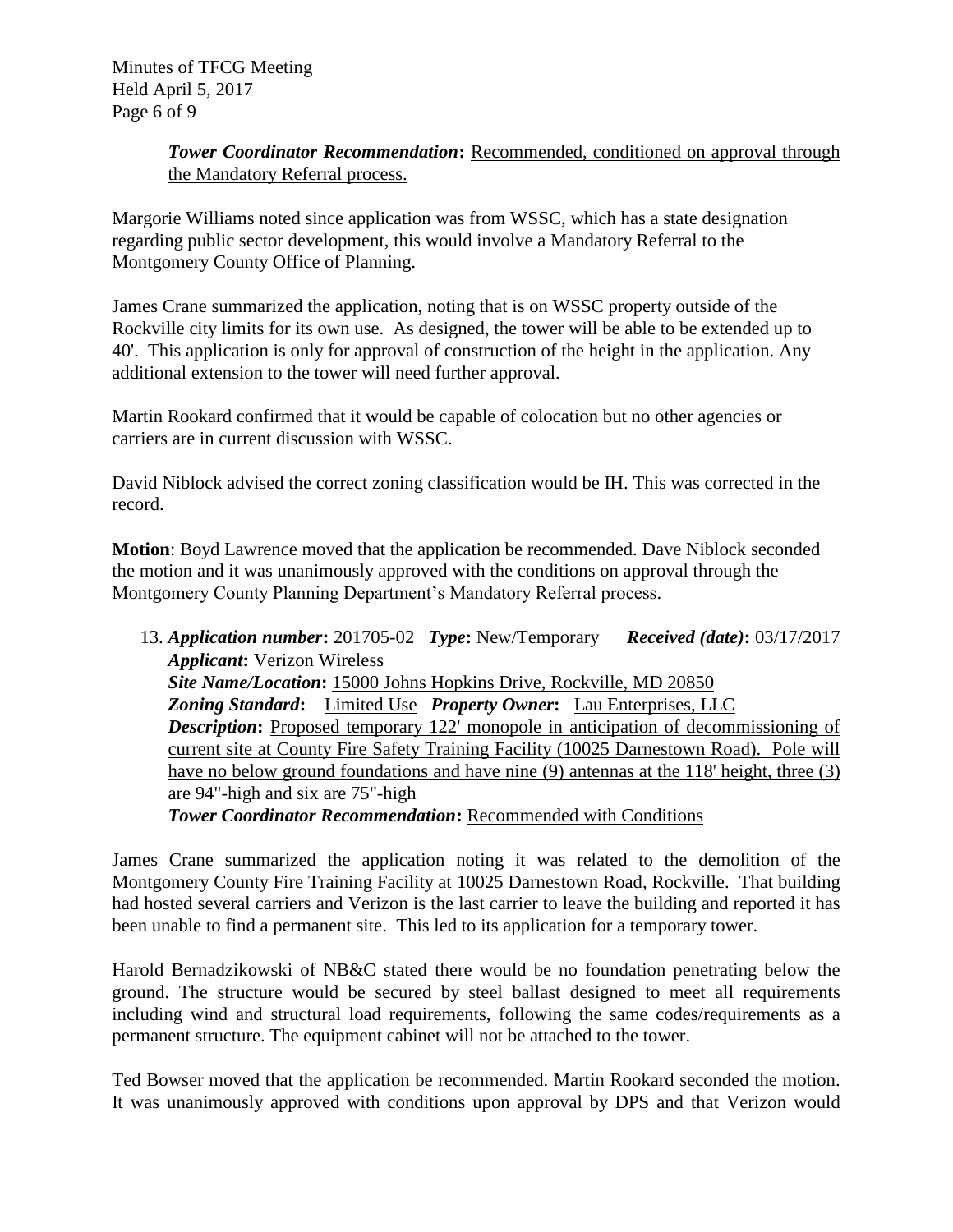Minutes of TFCG Meeting Held April 5, 2017 Page 6 of 9

# **Tower Coordinator Recommendation:** Recommended, conditioned on approval through the Mandatory Referral process.

Margorie Williams noted since application was from WSSC, which has a state designation regarding public sector development, this would involve a Mandatory Referral to the Montgomery County Office of Planning.

James Crane summarized the application, noting that is on WSSC property outside of the Rockville city limits for its own use. As designed, the tower will be able to be extended up to 40'. This application is only for approval of construction of the height in the application. Any additional extension to the tower will need further approval.

Martin Rookard confirmed that it would be capable of colocation but no other agencies or carriers are in current discussion with WSSC.

David Niblock advised the correct zoning classification would be IH. This was corrected in the record.

**Motion**: Boyd Lawrence moved that the application be recommended. Dave Niblock seconded the motion and it was unanimously approved with the conditions on approval through the Montgomery County Planning Department's Mandatory Referral process.

13. *Application number***:** 201705-02 *Type***:** New/Temporary*Received (date)***:** 03/17/2017 *Applicant***:** Verizon Wireless *Site Name/Location***:** 15000 Johns Hopkins Drive, Rockville, MD 20850 *Zoning Standard***:** Limited Use*Property Owner***:** Lau Enterprises, LLC *Description*: Proposed temporary 122' monopole in anticipation of decommissioning of current site at County Fire Safety Training Facility (10025 Darnestown Road). Pole will have no below ground foundations and have nine (9) antennas at the 118' height, three (3) are 94"-high and six are 75"-high

*Tower Coordinator Recommendation***:** Recommended with Conditions

James Crane summarized the application noting it was related to the demolition of the Montgomery County Fire Training Facility at 10025 Darnestown Road, Rockville. That building had hosted several carriers and Verizon is the last carrier to leave the building and reported it has been unable to find a permanent site. This led to its application for a temporary tower.

Harold Bernadzikowski of NB&C stated there would be no foundation penetrating below the ground. The structure would be secured by steel ballast designed to meet all requirements including wind and structural load requirements, following the same codes/requirements as a permanent structure. The equipment cabinet will not be attached to the tower.

Ted Bowser moved that the application be recommended. Martin Rookard seconded the motion. It was unanimously approved with conditions upon approval by DPS and that Verizon would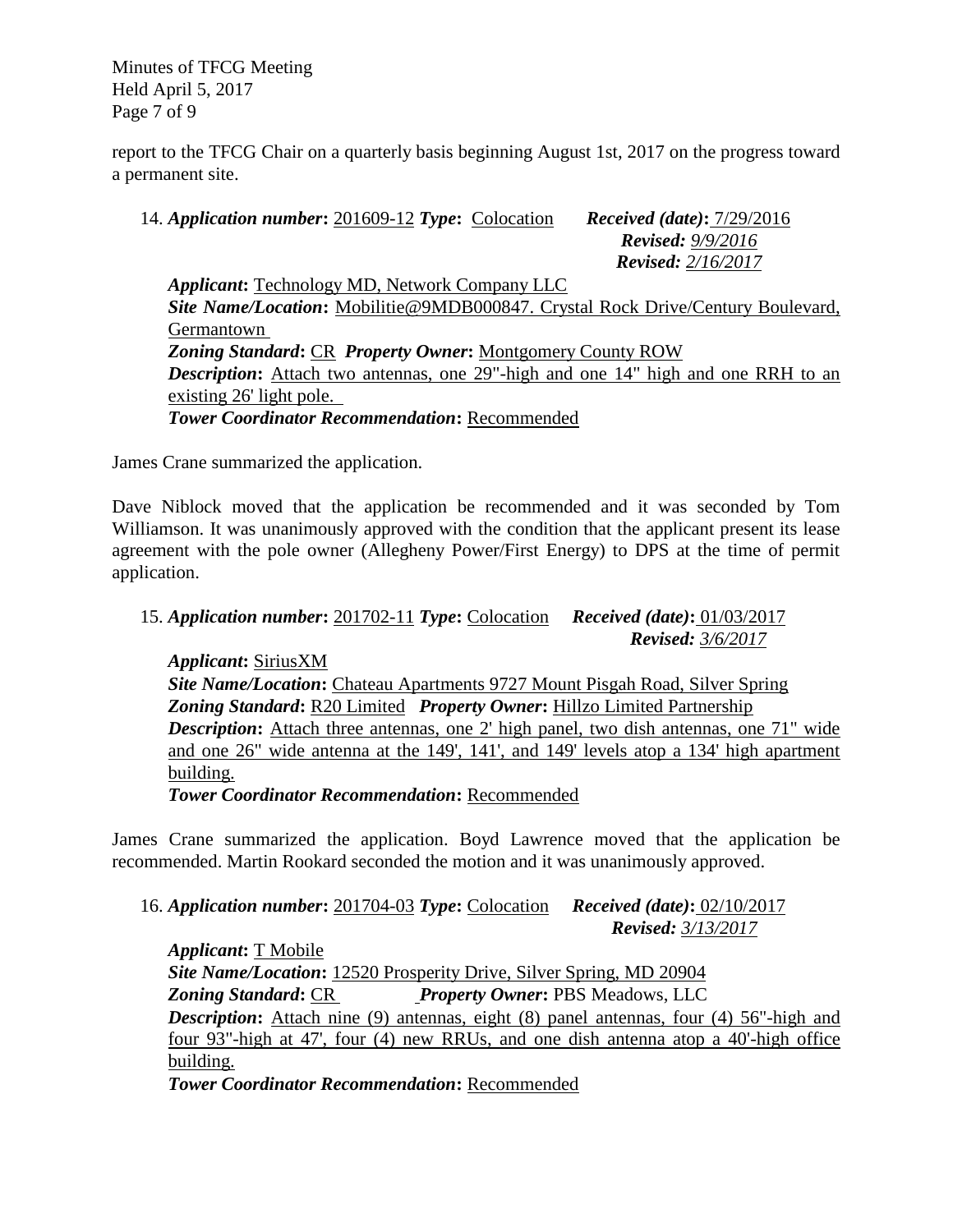Minutes of TFCG Meeting Held April 5, 2017 Page 7 of 9

report to the TFCG Chair on a quarterly basis beginning August 1st, 2017 on the progress toward a permanent site.

14. *Application number***:** 201609-12 *Type***:** Colocation*Received (date)***:** 7/29/2016 *Revised: 9/9/2016 Revised: 2/16/2017 Applicant***:** Technology MD, Network Company LLC *Site Name/Location***:** Mobilitie@9MDB000847. Crystal Rock Drive/Century Boulevard, Germantown *Zoning Standard***:** CR *Property Owner***:** Montgomery County ROW *Description*: Attach two antennas, one 29"-high and one 14" high and one RRH to an existing 26' light pole. *Tower Coordinator Recommendation***:** Recommended

James Crane summarized the application.

Dave Niblock moved that the application be recommended and it was seconded by Tom Williamson. It was unanimously approved with the condition that the applicant present its lease agreement with the pole owner (Allegheny Power/First Energy) to DPS at the time of permit application.

# 15. *Application number***:** 201702-11 *Type***:** Colocation*Received (date)***:** 01/03/2017  *Revised: 3/6/2017*

*Applicant***:** SiriusXM *Site Name/Location***:** Chateau Apartments 9727 Mount Pisgah Road, Silver Spring *Zoning Standard***:** R20 Limited *Property Owner***:** Hillzo Limited Partnership *Description*: Attach three antennas, one 2' high panel, two dish antennas, one 71" wide and one 26" wide antenna at the 149', 141', and 149' levels atop a 134' high apartment building.

*Tower Coordinator Recommendation***:** Recommended

James Crane summarized the application. Boyd Lawrence moved that the application be recommended. Martin Rookard seconded the motion and it was unanimously approved.

16. *Application number***:** 201704-03 *Type***:** Colocation*Received (date)***:** 02/10/2017  *Revised: 3/13/2017*

*Applicant***:** T Mobile *Site Name/Location***:** 12520 Prosperity Drive, Silver Spring, MD 20904 *Zoning Standard***:** CR *Property Owner***:** PBS Meadows, LLC *Description*: Attach nine (9) antennas, eight (8) panel antennas, four (4) 56"-high and four 93"-high at 47', four (4) new RRUs, and one dish antenna atop a 40'-high office building.

*Tower Coordinator Recommendation***:** Recommended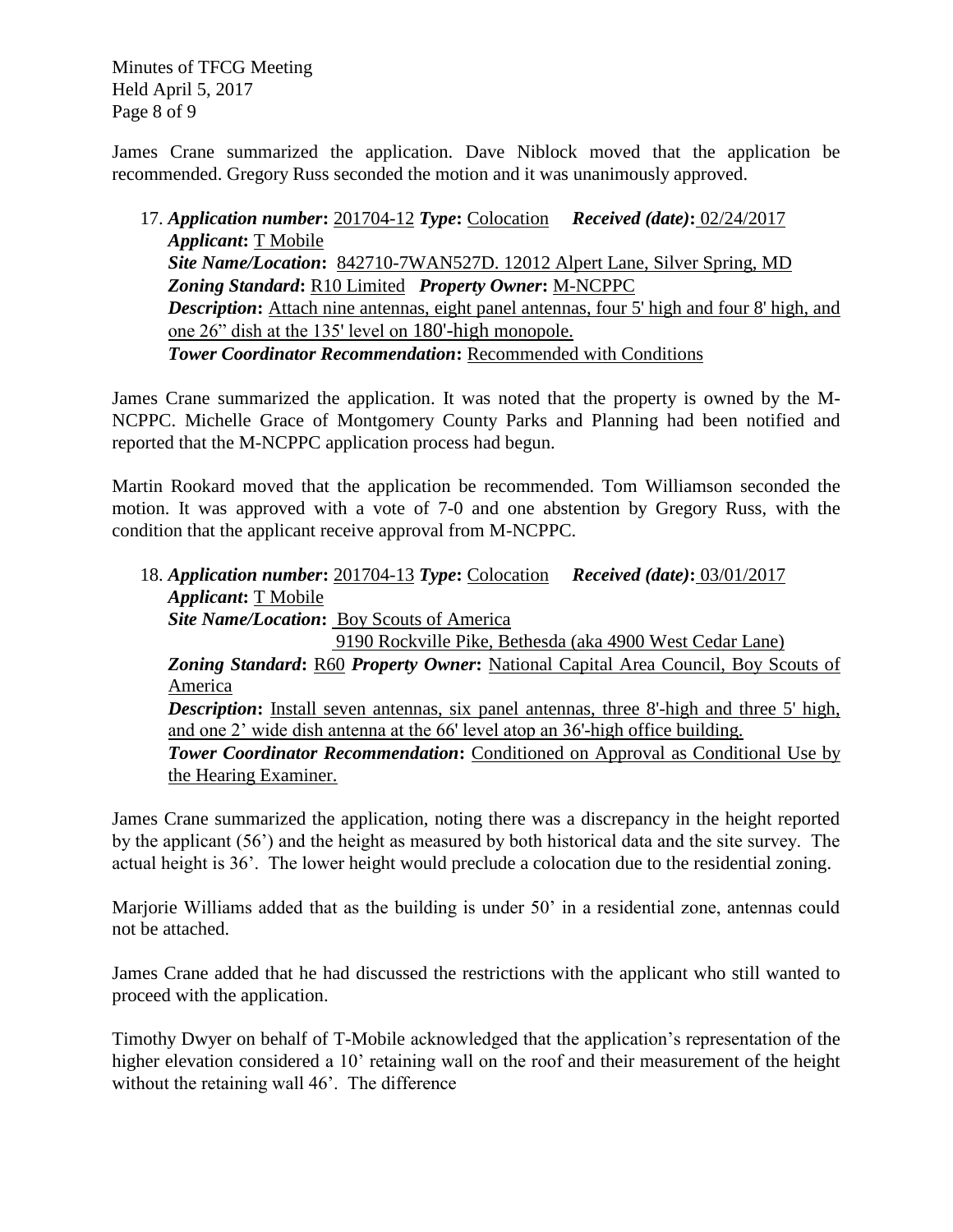Minutes of TFCG Meeting Held April 5, 2017 Page 8 of 9

James Crane summarized the application. Dave Niblock moved that the application be recommended. Gregory Russ seconded the motion and it was unanimously approved.

17. *Application number***:** 201704-12 *Type***:** Colocation*Received (date)***:** 02/24/2017 *Applicant***:** T Mobile *Site Name/Location***:** 842710-7WAN527D. 12012 Alpert Lane, Silver Spring, MD *Zoning Standard***:** R10 Limited *Property Owner***:** M-NCPPC **Description:** Attach nine antennas, eight panel antennas, four 5' high and four 8' high, and one 26" dish at the 135' level on 180'-high monopole. *Tower Coordinator Recommendation***:** Recommended with Conditions

James Crane summarized the application. It was noted that the property is owned by the M-NCPPC. Michelle Grace of Montgomery County Parks and Planning had been notified and reported that the M-NCPPC application process had begun.

Martin Rookard moved that the application be recommended. Tom Williamson seconded the motion. It was approved with a vote of 7-0 and one abstention by Gregory Russ, with the condition that the applicant receive approval from M-NCPPC.

18. *Application number***:** 201704-13 *Type***:** Colocation*Received (date)***:** 03/01/2017 *Applicant***:** T Mobile *Site Name/Location***:** Boy Scouts of America 9190 Rockville Pike, Bethesda (aka 4900 West Cedar Lane) *Zoning Standard***:** R60 *Property Owner***:** National Capital Area Council, Boy Scouts of America **Description:** Install seven antennas, six panel antennas, three 8'-high and three 5' high, and one 2' wide dish antenna at the 66' level atop an 36'-high office building. **Tower Coordinator Recommendation:** Conditioned on Approval as Conditional Use by the Hearing Examiner.

James Crane summarized the application, noting there was a discrepancy in the height reported by the applicant (56') and the height as measured by both historical data and the site survey. The actual height is 36'. The lower height would preclude a colocation due to the residential zoning.

Marjorie Williams added that as the building is under 50' in a residential zone, antennas could not be attached.

James Crane added that he had discussed the restrictions with the applicant who still wanted to proceed with the application.

Timothy Dwyer on behalf of T-Mobile acknowledged that the application's representation of the higher elevation considered a 10' retaining wall on the roof and their measurement of the height without the retaining wall 46'. The difference